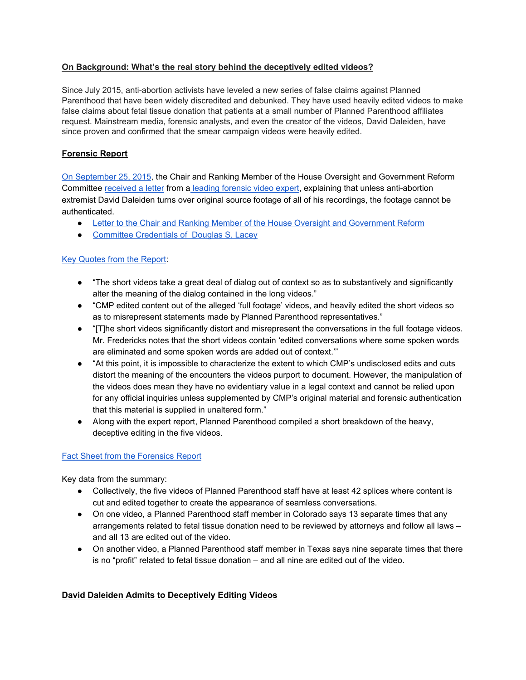## **On Background: What's the real story behind the deceptively edited videos?**

Since July 2015, anti-abortion activists have leveled a new series of false claims against Planned Parenthood that have been widely discredited and debunked. They have used heavily edited videos to make false claims about fetal tissue donation that patients at a small number of Planned Parenthood affiliates request. Mainstream media, forensic analysts, and even the creator of the videos, David Daleiden, have since proven and confirmed that the smear campaign videos were heavily edited.

# **Forensic Report**

On [September](https://www.plannedparenthood.org/about-us/newsroom/press-releases/forensic-expert-warns-congressional-committee-dont-be-duped-by-deleidens-source-footage) 25, 2015, the Chair and Ranking Member of the House Oversight and Government Reform Committee [received](http://ppfa.pr-optout.com/ViewAttachment.aspx?EID=mr9WXYw4u2IxYnni1dBRVn%2bi3Zc4i7fXeCI%2bpxjj2uc%3d) a letter from a leading [forensic](http://ppfa.pr-optout.com/ViewAttachment.aspx?EID=mr9WXYw4u2IxYnni1dBRVqjmfKhbXeEI0twIx6nFhgQ%3d) video expert, explaining that unless anti-abortion extremist David Daleiden turns over original source footage of all of his recordings, the footage cannot be authenticated.

- Letter to the Chair and Ranking Member of the House Oversight and [Government](http://ppfa.pr-optout.com/ViewAttachment.aspx?EID=mr9WXYw4u2IxYnni1dBRVn%2bi3Zc4i7fXeCI%2bpxjj2uc%3d) Reform
- Committee [Credentials](http://ppfa.pr-optout.com/ViewAttachment.aspx?EID=mr9WXYw4u2IxYnni1dBRVqjmfKhbXeEI0twIx6nFhgQ%3d) of Douglas S. Lacey

## Key [Quotes](https://www.plannedparenthood.org/about-us/newsroom/press-releases/report-and-letter-to-congress-outline-substantial-deceptive-editing-in-anti-abortion-video-campaign1) from the Report:

- "The short videos take a great deal of dialog out of context so as to substantively and significantly alter the meaning of the dialog contained in the long videos."
- "CMP edited content out of the alleged 'full footage' videos, and heavily edited the short videos so as to misrepresent statements made by Planned Parenthood representatives."
- "[T]he short videos significantly distort and misrepresent the conversations in the full footage videos. Mr. Fredericks notes that the short videos contain 'edited conversations where some spoken words are eliminated and some spoken words are added out of context.'"
- "At this point, it is impossible to characterize the extent to which CMP's undisclosed edits and cuts distort the meaning of the encounters the videos purport to document. However, the manipulation of the videos does mean they have no evidentiary value in a legal context and cannot be relied upon for any official inquiries unless supplemented by CMP's original material and forensic authentication that this material is supplied in unaltered form."
- Along with the expert report, Planned Parenthood compiled a short breakdown of the heavy, deceptive editing in the five videos.

#### Fact Sheet from the [Forensics](http://ppfa.pr-optout.com/ViewAttachment.aspx?EID=mr9WXYw4u2IxYnni1dBRVhtUYwDcwR8lAdSc09OPZow%3d) Report

Key data from the summary:

- Collectively, the five videos of Planned Parenthood staff have at least 42 splices where content is cut and edited together to create the appearance of seamless conversations.
- On one video, a Planned Parenthood staff member in Colorado says 13 separate times that any arrangements related to fetal tissue donation need to be reviewed by attorneys and follow all laws – and all 13 are edited out of the video.
- On another video, a Planned Parenthood staff member in Texas says nine separate times that there is no "profit" related to fetal tissue donation – and all nine are edited out of the video.

## **David Daleiden Admits to Deceptively Editing Videos**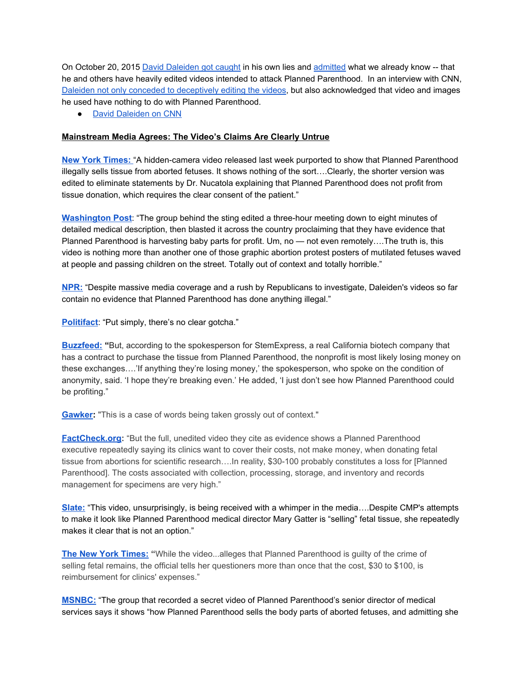On October 20, 2015 David [Daleiden](https://www.plannedparenthood.org/about-us/newsroom/press-releases/daleiden-admits-to-deceptively-editing-videos#sthash.JQAqMyWI.dpuf) got caught in his own lies and [admitted](https://www.youtube.com/watch?v=ui7TxAKubR8&feature=youtu.be) what we already know -- that he and others have heavily edited videos intended to attack Planned Parenthood. In an interview with CNN, Daleiden not only conceded to [deceptively](http://www.plannedparenthoodaction.org/elections-politics/newsroom/press-releases/fiorina-drops-polls-maker-video-admits-editing-video/) editing the videos, but also acknowledged that video and images he used have nothing to do with Planned Parenthood.

● David [Daleiden](https://www.youtube.com/watch?v=ui7TxAKubR8&feature=youtu.be) on CNN

## **Mainstream Media Agrees: The Video's Claims Are Clearly Untrue**

**New York [Times:](http://www.nytimes.com/2015/07/22/opinion/the-campaign-of-deception-against-planned-parenthood.html?partner=rssnyt&emc=rss&_r=0)** "A hidden-camera video released last week purported to show that Planned Parenthood illegally sells tissue from aborted fetuses. It shows nothing of the sort….Clearly, the shorter version was edited to eliminate statements by Dr. Nucatola explaining that Planned Parenthood does not profit from tissue donation, which requires the clear consent of the patient."

**[Washington](http://www.washingtonpost.com/local/planned-parenthood-deserves-to-be-supported-not-attacked/2015/07/16/373c8f58-2bba-11e5-a5ea-cf74396e59ec_story.html) Post:** "The group behind the sting edited a three-hour meeting down to eight minutes of detailed medical description, then blasted it across the country proclaiming that they have evidence that Planned Parenthood is harvesting baby parts for profit. Um, no — not even remotely….The truth is, this video is nothing more than another one of those graphic abortion protest posters of mutilated fetuses waved at people and passing children on the street. Totally out of context and totally horrible."

**[NPR:](http://www.npr.org/sections/thetwo-way/2015/07/22/425314909/sting-videos-part-of-longtime-campaign-against-planned-parenthood)**"Despite massive media coverage and a rush by Republicans to investigate, Daleiden's videos so far contain no evidence that Planned Parenthood has done anything illegal."

**[Politifact](http://www.politifact.com/truth-o-meter/article/2015/jul/17/planned-parenthood-video-context/)**: "Put simply, there's no clear gotcha."

**[Buzzfeed:](http://www.buzzfeed.com/emaoconnor/many-planned-parenthood-centers-dont-profit-from-fetal-tissu#.yi0jKljKB)"**But, according to the spokesperson for StemExpress, a real California biotech company that has a contract to purchase the tissue from Planned Parenthood, the nonprofit is most likely losing money on these exchanges….'If anything they're losing money,' the spokesperson, who spoke on the condition of anonymity, said. 'I hope they're breaking even.' He added, 'I just don't see how Planned Parenthood could be profiting."

**[Gawker](http://gawker.com/no-planned-parenthood-is-not-selling-aborted-fetal-bod-1717823538):** "This is a case of words being taken grossly out of context."

**[FactCheck.org](http://www.factcheck.org/2015/07/unspinning-the-planned-parenthood-video/):** "But the full, unedited video they cite as evidence shows a Planned Parenthood executive repeatedly saying its clinics want to cover their costs, not make money, when donating fetal tissue from abortions for scientific research....In reality, \$30-100 probably constitutes a loss for [Planned Parenthood]. The costs associated with collection, processing, storage, and inventory and records management for specimens are very high."

**[Slate:](http://www.slate.com/blogs/xx_factor/2015/07/21/the_center_for_medical_releases_a_second_attack_video_on_planned_parenthood.html)**"This video, unsurprisingly, is being received with a whimper in the media….Despite CMP's attempts to make it look like Planned Parenthood medical director Mary Gatter is "selling" fetal tissue, she repeatedly makes it clear that is not an option."

**The New York [Times:](http://www.nytimes.com/2015/07/15/us/video-accuses-planned-parenthood-of-crime.html?_r=1)"**While the video...alleges that Planned Parenthood is guilty of the crime of selling fetal remains, the official tells her questioners more than once that the cost, \$30 to \$100, is reimbursement for clinics' expenses."

**[MSNBC:](http://www.msnbc.com/msnbc/what-you-didnt-see-planned-parenthood-video)**"The group that recorded a secret video of Planned Parenthood's senior director of medical services says it shows "how Planned Parenthood sells the body parts of aborted fetuses, and admitting she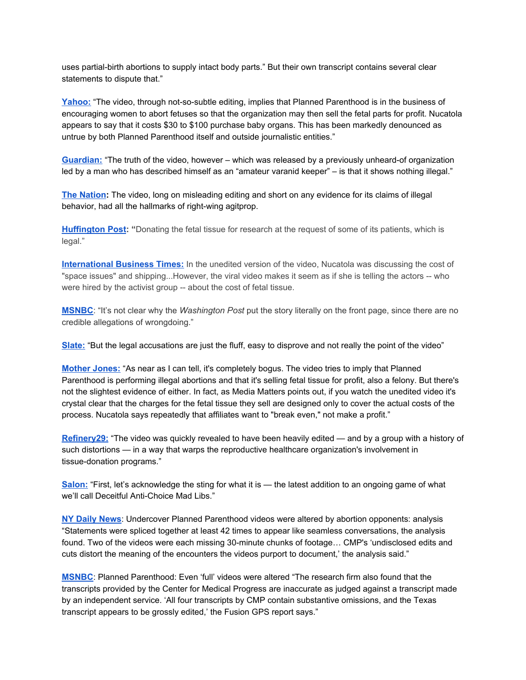uses partial-birth abortions to supply intact body parts." But their own transcript contains several clear statements to dispute that."

**[Yahoo:](https://www.yahoo.com/health/coincidence-or-is-it-planned-parenthood-sting-124262369437.html)** "The video, through not-so-subtle editing, implies that Planned Parenthood is in the business of encouraging women to abort fetuses so that the organization may then sell the fetal parts for profit. Nucatola appears to say that it costs \$30 to \$100 purchase baby organs. This has been markedly denounced as untrue by both Planned Parenthood itself and outside journalistic entities."

**[Guardian:](http://www.theguardian.com/commentisfree/2015/jul/15/planned-parenthood-videos-abortion-truths)** "The truth of the video, however – which was released by a previously unheard-of organization led by a man who has described himself as an "amateur varanid keeper" – is that it shows nothing illegal."

**The [Nation](http://www.thenation.com/article/whos-behind-the-planned-parenthood-sting-video-troy-newman-and-other-rabid-anti-choicers/):** The video, long on misleading editing and short on any evidence for its claims of illegal behavior, had all the hallmarks of right-wing agitprop.

**[Huffington](http://www.huffingtonpost.com/2015/07/14/sting-video-planned-parenthood_n_7797164.html) Post: "**Donating the fetal tissue for research at the request of some of its patients, which is legal."

**[International](http://www.ibtimes.com/who-deborah-nucatola-5-things-know-after-planned-parenthood-director-accused-selling-2008574) Business Times:**In the unedited version of the video, Nucatola was discussing the cost of "space issues" and shipping...However, the viral video makes it seem as if she is telling the actors -- who were hired by the activist group -- about the cost of fetal tissue.

**[MSNBC](http://www.msnbc.com/rachel-maddow-show/why-congressman-would-say-interview-didnt-happen)**: "It's not clear why the *Washington Post* put the story literally on the front page, since there are no credible allegations of wrongdoing."

**[Slate:](http://www.slate.com/blogs/xx_factor/2015/07/14/lila_rose_and_live_action_have_another_planned_parenthood_sting_yet_again.html)**"But the legal accusations are just the fluff, easy to disprove and not really the point of the video"

**[Mother](http://www.motherjones.com/kevin-drum/2015/07/planned-parenthood-sting-video-yet-another-right-wing-nothingburger%20Kevin%20Drum) Jones:**"As near as I can tell, it's completely bogus. The video tries to imply that Planned Parenthood is performing illegal abortions and that it's selling fetal tissue for profit, also a felony. But there's not the slightest evidence of either. In fact, as Media Matters points out, if you watch the unedited video it's crystal clear that the charges for the fetal tissue they sell are designed only to cover the actual costs of the process. Nucatola says repeatedly that affiliates want to "break even," not make a profit."

**[Refinery29:](http://www.refinery29.com/2015/07/90798/planned-parenthood-video-stigma-speak-out)**"The video was quickly revealed to have been heavily edited — and by a group with a history of such distortions — in a way that warps the reproductive healthcare organization's involvement in tissue-donation programs."

**[Salon:](http://www.salon.com/2015/07/15/planned_parenthoods_biggest_problem_is_not_selling_baby_parts_what_the_latest_anti_choice_sting_reveals_about_the_abortion_debate/)** "First, let's acknowledge the sting for what it is — the latest addition to an ongoing game of what we'll call Deceitful Anti-Choice Mad Libs."

**NY Daily [News](http://www.nydailynews.com/news/national/undercover-planned-parenthood-videos-altered-analysis-article-1.2339161)**: Undercover Planned Parenthood videos were altered by abortion opponents: analysis "Statements were spliced together at least 42 times to appear like seamless conversations, the analysis found. Two of the videos were each missing 30-minute chunks of footage... CMP's 'undisclosed edits and cuts distort the meaning of the encounters the videos purport to document,' the analysis said."

**[MSNBC](http://www.msnbc.com/msnbc/planned-parenthood-even-full-videos-were-altered)**: Planned Parenthood: Even 'full' videos were altered "The research firm also found that the transcripts provided by the Center for Medical Progress are inaccurate as judged against a transcript made by an independent service. 'All four transcripts by CMP contain substantive omissions, and the Texas transcript appears to be grossly edited,' the Fusion GPS report says."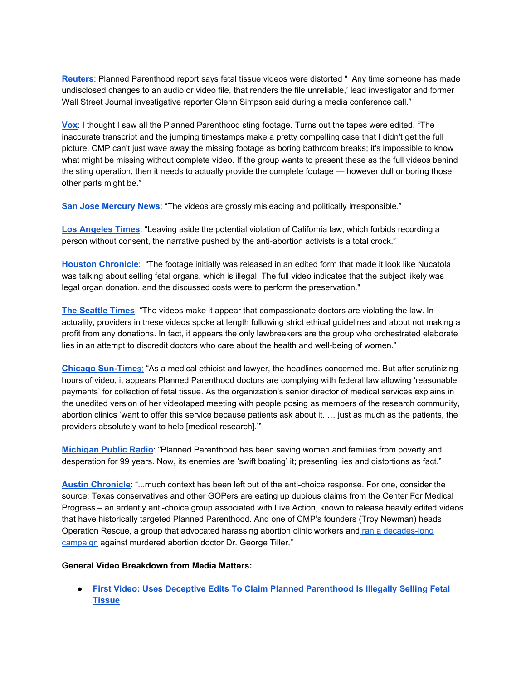**[Reuters](http://www.reuters.com/article/2015/08/27/us-usa-plannedparenthood-review-idUSKCN0QW2CT20150827)**: Planned Parenthood report says fetal tissue videos were distorted " 'Any time someone has made undisclosed changes to an audio or video file, that renders the file unreliable,' lead investigator and former Wall Street Journal investigative reporter Glenn Simpson said during a media conference call."

**[Vox](http://www.vox.com/2015/8/28/9217323/planned-parenthood-tapes-edited)**: I thought I saw all the Planned Parenthood sting footage. Turns out the tapes were edited. "The inaccurate transcript and the jumping timestamps make a pretty compelling case that I didn't get the full picture. CMP can't just wave away the missing footage as boring bathroom breaks; it's impossible to know what might be missing without complete video. If the group wants to present these as the full videos behind the sting operation, then it needs to actually provide the complete footage — however dull or boring those other parts might be."

**San Jose [Mercury](http://www.mercurynews.com/opinion/ci_28545256/mercury-n) News**: "The videos are grossly misleading and politically irresponsible."

**Los [Angeles](http://www.latimes.com/local/abcarian/la-me-ra-attacks-on-planned-parenthood-20150716-column.html#page=1) Times**: "Leaving aside the potential violation of California law, which forbids recording a person without consent, the narrative pushed by the anti-abortion activists is a total crock."

**Houston [Chronicle](http://www.houstonchronicle.com/news/health/article/Scientists-say-fetal-tissue-research-rare-but-6391962.php)**: "The footage initially was released in an edited form that made it look like Nucatola was talking about selling fetal organs, which is illegal. The full video indicates that the subject likely was legal organ donation, and the discussed costs were to perform the preservation."

**The [Seattle](http://www.seattletimes.com/opinion/undercover-videos-mislead-distort-planned-parenthoods-work/) Times**: "The videos make it appear that compassionate doctors are violating the law. In actuality, providers in these videos spoke at length following strict ethical guidelines and about not making a profit from any donations. In fact, it appears the only lawbreakers are the group who orchestrated elaborate lies in an attempt to discredit doctors who care about the health and well-being of women."

**Chicago Sun-Time[s:](http://chicago.suntimes.com/opinion/7/71/833397/opinion-5)** "As a medical ethicist and lawyer, the headlines concerned me. But after scrutinizing hours of video, it appears Planned Parenthood doctors are complying with federal law allowing 'reasonable payments' for collection of fetal tissue. As the organization's senior director of medical services explains in the unedited version of her videotaped meeting with people posing as members of the research community, abortion clinics 'want to offer this service because patients ask about it. … just as much as the patients, the providers absolutely want to help [medical research].'"

**[Michigan](http://michiganradio.org/post/truth-about-planned-parenthood#stream/0) Public Radio**: "Planned Parenthood has been saving women and families from poverty and desperation for 99 years. Now, its enemies are 'swift boating' it; presenting lies and distortions as fact."

Austin [Chronicle](http://www.austinchronicle.com/daily/news/2015-07-24/abbott-launches-investigation-into-planned-parenthood/): "...much context has been left out of the anti-choice response. For one, consider the source: Texas conservatives and other GOPers are eating up dubious claims from the Center For Medical Progress – an ardently anti-choice group associated with Live Action, known to release heavily edited videos that have historically targeted Planned Parenthood. And one of CMP's founders (Troy Newman) heads Operation Rescue, a group that advocated harassing abortion clinic workers and ran a decades-long [campaign](http://rhrealitycheck.org/article/2015/07/17/board-member-behind-planned-parenthood-video-close-ties-abortion-clinic-violence/) against murdered abortion doctor Dr. George Tiller."

#### **General Video Breakdown from Media Matters:**

**● First Video: Uses Deceptive Edits To Claim Planned [Parenthood](http://mediamatters.org/research/2015/08/31/a-comprehensive-guide-to-the-deceptively-edited/205264#One) Is Illegally Selling Fetal [Tissue](http://mediamatters.org/research/2015/08/31/a-comprehensive-guide-to-the-deceptively-edited/205264#One)**